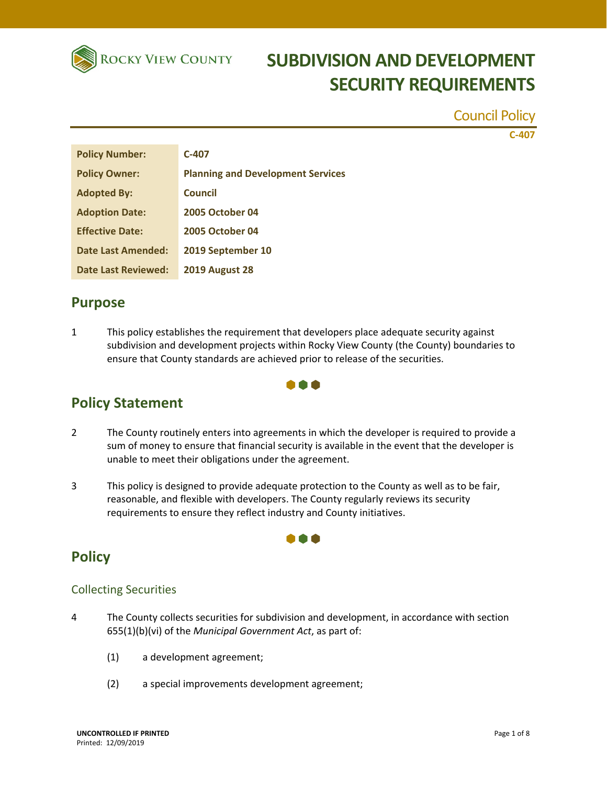

Council Policy

**C‐407**

| <b>Policy Number:</b>      | $C-407$                                  |
|----------------------------|------------------------------------------|
| <b>Policy Owner:</b>       | <b>Planning and Development Services</b> |
| <b>Adopted By:</b>         | Council                                  |
| <b>Adoption Date:</b>      | <b>2005 October 04</b>                   |
| <b>Effective Date:</b>     | <b>2005 October 04</b>                   |
| <b>Date Last Amended:</b>  | 2019 September 10                        |
| <b>Date Last Reviewed:</b> | <b>2019 August 28</b>                    |

### **Purpose**

1 This policy establishes the requirement that developers place adequate security against subdivision and development projects within Rocky View County (the County) boundaries to ensure that County standards are achieved prior to release of the securities.

### a a a

### **Policy Statement**

- 2 The County routinely enters into agreements in which the developer is required to provide a sum of money to ensure that financial security is available in the event that the developer is unable to meet their obligations under the agreement.
- 3 This policy is designed to provide adequate protection to the County as well as to be fair, reasonable, and flexible with developers. The County regularly reviews its security requirements to ensure they reflect industry and County initiatives.

### **Policy**

#### Collecting Securities

- 4 The County collects securities for subdivision and development, in accordance with section 655(1)(b)(vi) of the *Municipal Government Act*, as part of:
	- (1) a development agreement;
	- (2) a special improvements development agreement;

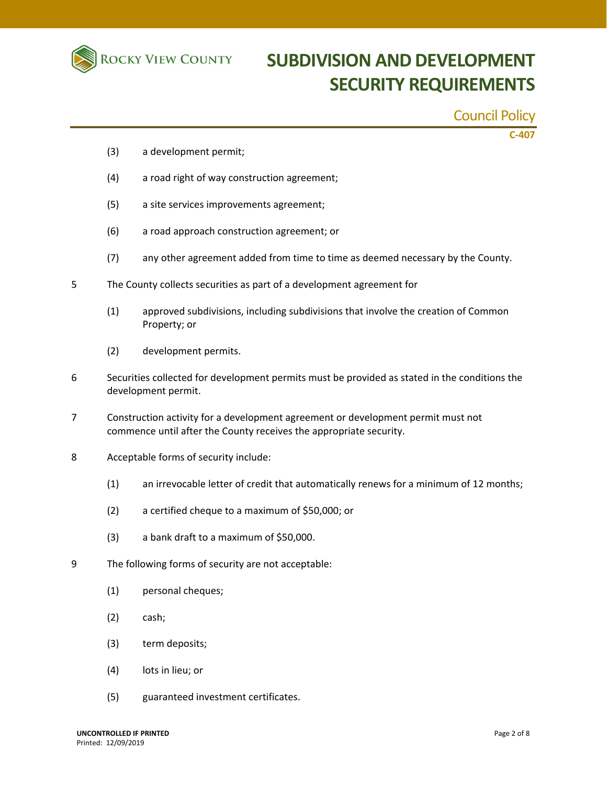

## **ROCKY VIEW COUNTY SUBDIVISION AND DEVELOPMENT SECURITY REQUIREMENTS**

### Council Policy

**C‐407**

- (3) a development permit;
- (4) a road right of way construction agreement;
- (5) a site services improvements agreement;
- (6) a road approach construction agreement; or
- (7) any other agreement added from time to time as deemed necessary by the County.
- 5 The County collects securities as part of a development agreement for
	- (1) approved subdivisions, including subdivisions that involve the creation of Common Property; or
	- (2) development permits.
- 6 Securities collected for development permits must be provided as stated in the conditions the development permit.
- 7 Construction activity for a development agreement or development permit must not commence until after the County receives the appropriate security.
- 8 Acceptable forms of security include:
	- (1) an irrevocable letter of credit that automatically renews for a minimum of 12 months;
	- (2) a certified cheque to a maximum of \$50,000; or
	- (3) a bank draft to a maximum of \$50,000.
- 9 The following forms of security are not acceptable:
	- (1) personal cheques;
	- (2) cash;
	- (3) term deposits;
	- (4) lots in lieu; or
	- (5) guaranteed investment certificates.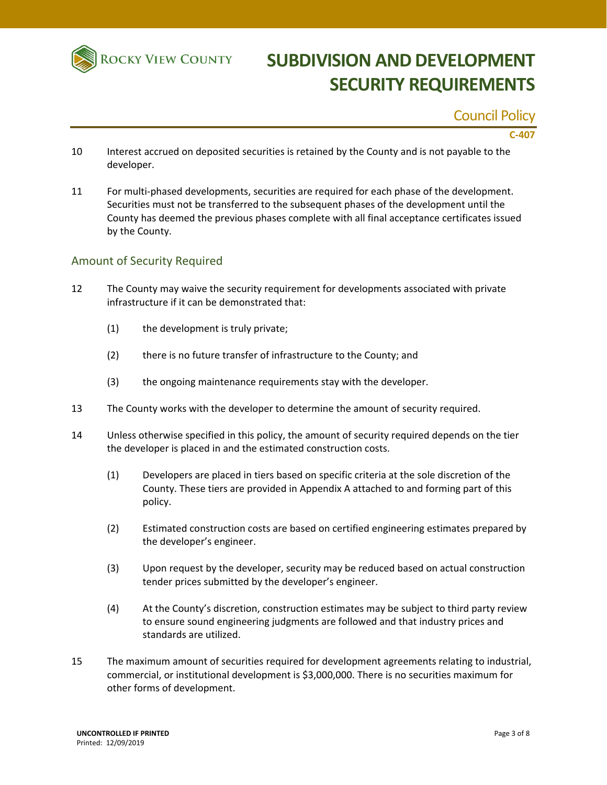

### Council Policy

#### **C‐407**

- 10 Interest accrued on deposited securities is retained by the County and is not payable to the developer.
- 11 For multi‐phased developments, securities are required for each phase of the development. Securities must not be transferred to the subsequent phases of the development until the County has deemed the previous phases complete with all final acceptance certificates issued by the County.

#### Amount of Security Required

- 12 The County may waive the security requirement for developments associated with private infrastructure if it can be demonstrated that:
	- (1) the development is truly private;
	- (2) there is no future transfer of infrastructure to the County; and
	- (3) the ongoing maintenance requirements stay with the developer.
- 13 The County works with the developer to determine the amount of security required.
- 14 Unless otherwise specified in this policy, the amount of security required depends on the tier the developer is placed in and the estimated construction costs.
	- (1) Developers are placed in tiers based on specific criteria at the sole discretion of the County. These tiers are provided in Appendix A attached to and forming part of this policy.
	- (2) Estimated construction costs are based on certified engineering estimates prepared by the developer's engineer.
	- (3) Upon request by the developer, security may be reduced based on actual construction tender prices submitted by the developer's engineer.
	- (4) At the County's discretion, construction estimates may be subject to third party review to ensure sound engineering judgments are followed and that industry prices and standards are utilized.
- 15 The maximum amount of securities required for development agreements relating to industrial, commercial, or institutional development is \$3,000,000. There is no securities maximum for other forms of development.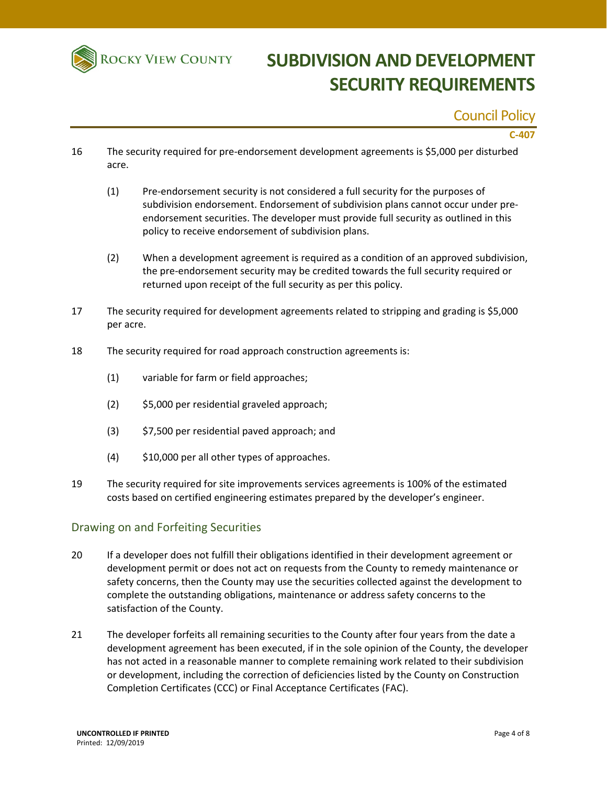

### Council Policy

#### **C‐407**

- 16 The security required for pre‐endorsement development agreements is \$5,000 per disturbed acre.
	- (1) Pre‐endorsement security is not considered a full security for the purposes of subdivision endorsement. Endorsement of subdivision plans cannot occur under pre‐ endorsement securities. The developer must provide full security as outlined in this policy to receive endorsement of subdivision plans.
	- (2) When a development agreement is required as a condition of an approved subdivision, the pre‐endorsement security may be credited towards the full security required or returned upon receipt of the full security as per this policy.
- 17 The security required for development agreements related to stripping and grading is \$5,000 per acre.
- 18 The security required for road approach construction agreements is:
	- (1) variable for farm or field approaches;
	- (2) \$5,000 per residential graveled approach;
	- (3) \$7,500 per residential paved approach; and
	- (4) \$10,000 per all other types of approaches.
- 19 The security required for site improvements services agreements is 100% of the estimated costs based on certified engineering estimates prepared by the developer's engineer.

#### Drawing on and Forfeiting Securities

- 20 If a developer does not fulfill their obligations identified in their development agreement or development permit or does not act on requests from the County to remedy maintenance or safety concerns, then the County may use the securities collected against the development to complete the outstanding obligations, maintenance or address safety concerns to the satisfaction of the County.
- 21 The developer forfeits all remaining securities to the County after four years from the date a development agreement has been executed, if in the sole opinion of the County, the developer has not acted in a reasonable manner to complete remaining work related to their subdivision or development, including the correction of deficiencies listed by the County on Construction Completion Certificates (CCC) or Final Acceptance Certificates (FAC).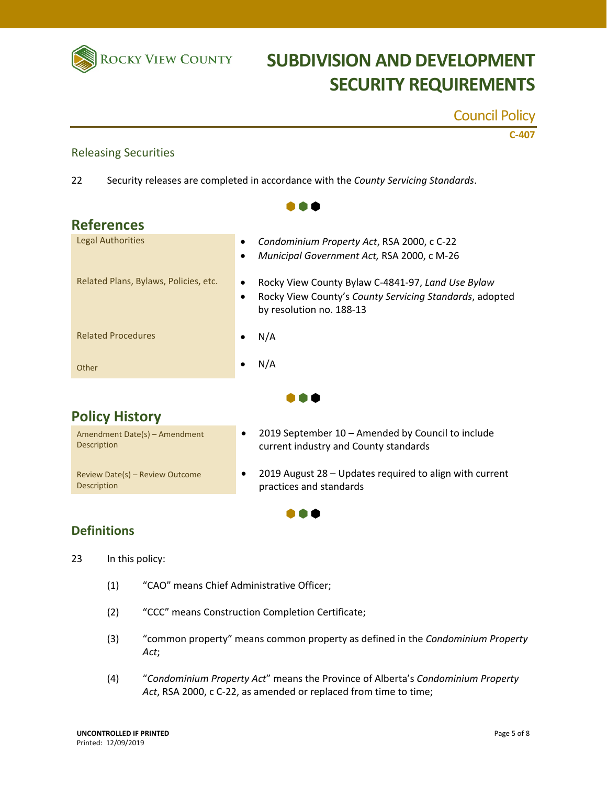

Releasing Securities

# **ROCKY VIEW COUNTY SUBDIVISION AND DEVELOPMENT SECURITY REQUIREMENTS**

Council Policy

**C‐407**

| 22                                                    | Security releases are completed in accordance with the County Servicing Standards.                                                                    |
|-------------------------------------------------------|-------------------------------------------------------------------------------------------------------------------------------------------------------|
|                                                       |                                                                                                                                                       |
| <b>References</b>                                     |                                                                                                                                                       |
| <b>Legal Authorities</b>                              | Condominium Property Act, RSA 2000, c C-22<br>Municipal Government Act, RSA 2000, c M-26                                                              |
| Related Plans, Bylaws, Policies, etc.                 | Rocky View County Bylaw C-4841-97, Land Use Bylaw<br>Rocky View County's County Servicing Standards, adopted<br>$\bullet$<br>by resolution no. 188-13 |
| <b>Related Procedures</b>                             | N/A                                                                                                                                                   |
| Other                                                 | N/A                                                                                                                                                   |
|                                                       |                                                                                                                                                       |
| <b>Policy History</b>                                 |                                                                                                                                                       |
| Amendment Date(s) - Amendment<br><b>Description</b>   | 2019 September 10 - Amended by Council to include<br>current industry and County standards                                                            |
| Review Date(s) - Review Outcome<br><b>Description</b> | 2019 August 28 - Updates required to align with current<br>practices and standards                                                                    |
|                                                       |                                                                                                                                                       |

#### **Definitions**

23 In this policy:

- (1) "CAO" means Chief Administrative Officer;
- (2) "CCC" means Construction Completion Certificate;
- (3) "common property" means common property as defined in the *Condominium Property Act*;
- (4) "*Condominium Property Act*" means the Province of Alberta's *Condominium Property Act*, RSA 2000, c C‐22, as amended or replaced from time to time;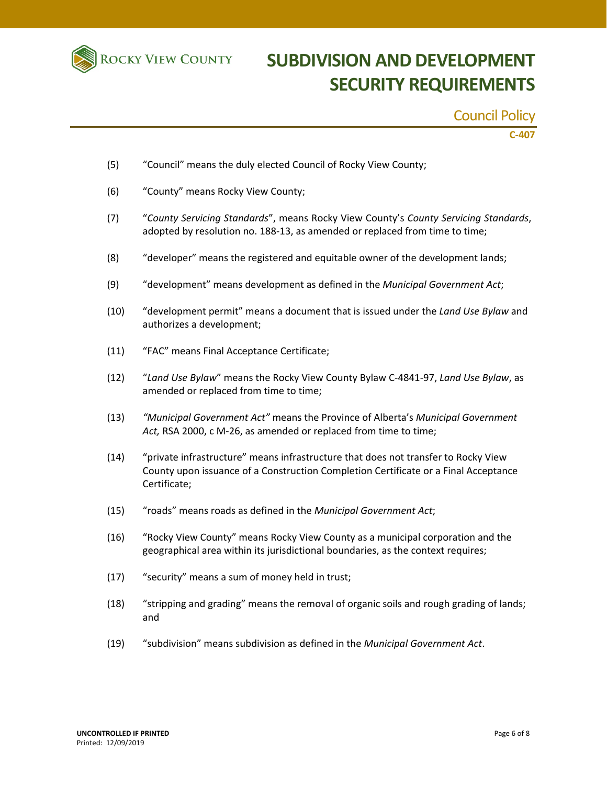

### Council Policy

**C‐407**

- (5) "Council" means the duly elected Council of Rocky View County;
- (6) "County" means Rocky View County;
- (7) "*County Servicing Standards*", means Rocky View County's *County Servicing Standards*, adopted by resolution no. 188-13, as amended or replaced from time to time;
- (8) "developer" means the registered and equitable owner of the development lands;
- (9) "development" means development as defined in the *Municipal Government Act*;
- (10) "development permit" means a document that is issued under the *Land Use Bylaw* and authorizes a development;
- (11) "FAC" means Final Acceptance Certificate;
- (12) "*Land Use Bylaw*" means the Rocky View County Bylaw C‐4841‐97, *Land Use Bylaw*, as amended or replaced from time to time;
- (13) *"Municipal Government Act"* means the Province of Alberta's *Municipal Government Act,* RSA 2000, c M‐26, as amended or replaced from time to time;
- (14) "private infrastructure" means infrastructure that does not transfer to Rocky View County upon issuance of a Construction Completion Certificate or a Final Acceptance Certificate;
- (15) "roads" means roads as defined in the *Municipal Government Act*;
- (16) "Rocky View County" means Rocky View County as a municipal corporation and the geographical area within its jurisdictional boundaries, as the context requires;
- (17) "security" means a sum of money held in trust;
- (18) "stripping and grading" means the removal of organic soils and rough grading of lands; and
- (19) "subdivision" means subdivision as defined in the *Municipal Government Act*.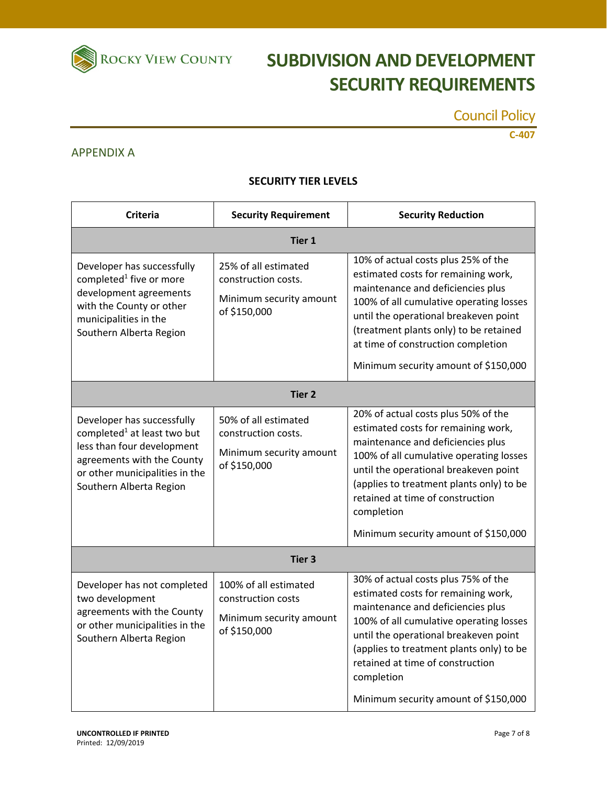

# **ROCKY VIEW COUNTY SUBDIVISION AND DEVELOPMENT SECURITY REQUIREMENTS**

Council Policy

**C‐407**

#### APPENDIX A

#### **SECURITY TIER LEVELS**

| <b>Criteria</b>                                                                                                                                                                                | <b>Security Requirement</b>                                                            | <b>Security Reduction</b>                                                                                                                                                                                                                                                                                                                 |  |  |
|------------------------------------------------------------------------------------------------------------------------------------------------------------------------------------------------|----------------------------------------------------------------------------------------|-------------------------------------------------------------------------------------------------------------------------------------------------------------------------------------------------------------------------------------------------------------------------------------------------------------------------------------------|--|--|
| Tier 1                                                                                                                                                                                         |                                                                                        |                                                                                                                                                                                                                                                                                                                                           |  |  |
| Developer has successfully<br>completed <sup>1</sup> five or more<br>development agreements<br>with the County or other<br>municipalities in the<br>Southern Alberta Region                    | 25% of all estimated<br>construction costs.<br>Minimum security amount<br>of \$150,000 | 10% of actual costs plus 25% of the<br>estimated costs for remaining work,<br>maintenance and deficiencies plus<br>100% of all cumulative operating losses<br>until the operational breakeven point<br>(treatment plants only) to be retained<br>at time of construction completion<br>Minimum security amount of \$150,000               |  |  |
| <b>Tier 2</b>                                                                                                                                                                                  |                                                                                        |                                                                                                                                                                                                                                                                                                                                           |  |  |
| Developer has successfully<br>completed <sup>1</sup> at least two but<br>less than four development<br>agreements with the County<br>or other municipalities in the<br>Southern Alberta Region | 50% of all estimated<br>construction costs.<br>Minimum security amount<br>of \$150,000 | 20% of actual costs plus 50% of the<br>estimated costs for remaining work,<br>maintenance and deficiencies plus<br>100% of all cumulative operating losses<br>until the operational breakeven point<br>(applies to treatment plants only) to be<br>retained at time of construction<br>completion<br>Minimum security amount of \$150,000 |  |  |
| Tier 3                                                                                                                                                                                         |                                                                                        |                                                                                                                                                                                                                                                                                                                                           |  |  |
| Developer has not completed<br>two development<br>agreements with the County<br>or other municipalities in the<br>Southern Alberta Region                                                      | 100% of all estimated<br>construction costs<br>Minimum security amount<br>of \$150,000 | 30% of actual costs plus 75% of the<br>estimated costs for remaining work,<br>maintenance and deficiencies plus<br>100% of all cumulative operating losses<br>until the operational breakeven point<br>(applies to treatment plants only) to be<br>retained at time of construction<br>completion<br>Minimum security amount of \$150,000 |  |  |